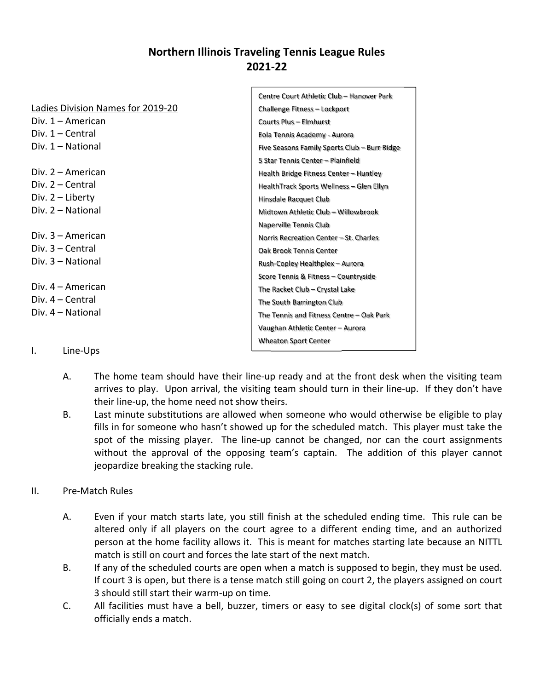# **Northern Illinois Traveling Tennis League Rules 2021‐22**

 $\Gamma$ 

|                                   | Centre Court Athletic Club - Hanover Park    |  |  |
|-----------------------------------|----------------------------------------------|--|--|
| Ladies Division Names for 2019-20 | Challenge Fitness - Lockport                 |  |  |
| Div. 1 – American                 | <b>Courts Plus - Elmhurst</b>                |  |  |
| Div. $1 -$ Central                | Eola Tennis Academy - Aurora                 |  |  |
| Div. 1 – National                 | Five Seasons Family Sports Club - Burr Ridge |  |  |
|                                   | 5 Star Tennis Center - Plainfield            |  |  |
| Div. $2 -$ American               | Health Bridge Fitness Center - Huntley       |  |  |
| $Div. 2 - Central$                | HealthTrack Sports Wellness - Glen Ellyn     |  |  |
| Div. $2$ – Liberty                | Hinsdale Racquet Club                        |  |  |
| Div. 2 - National                 | Midtown Athletic Club - Willowbrook          |  |  |
|                                   | Naperville Tennis Club                       |  |  |
| Div. $3 -$ American               | Norris Recreation Center - St. Charles       |  |  |
| $Div. 3 - Central$                | Oak Brook Tennis Center                      |  |  |
| $Div. 3 - National$               | Rush-Copley Healthplex - Aurora              |  |  |
|                                   | Score Tennis & Fitness - Countryside         |  |  |
| Div. 4 – American                 | The Racket Club - Crystal Lake               |  |  |
| $Div. 4 - Central$                | The South Barrington Club                    |  |  |
| Div. 4 – National                 | The Tennis and Fitness Centre - Oak Park     |  |  |
|                                   | Vaughan Athletic Center - Aurora             |  |  |
|                                   | <b>Wheaton Sport Center</b>                  |  |  |
| I.<br>Line-Ups                    |                                              |  |  |

- A. The home team should have their line-up ready and at the front desk when the visiting team arrives to play. Upon arrival, the visiting team should turn in their line‐up. If they don't have their line‐up, the home need not show theirs.
- B. Last minute substitutions are allowed when someone who would otherwise be eligible to play fills in for someone who hasn't showed up for the scheduled match. This player must take the spot of the missing player. The line-up cannot be changed, nor can the court assignments without the approval of the opposing team's captain. The addition of this player cannot jeopardize breaking the stacking rule.

## II. Pre‐Match Rules

- A. Even if your match starts late, you still finish at the scheduled ending time. This rule can be altered only if all players on the court agree to a different ending time, and an authorized person at the home facility allows it. This is meant for matches starting late because an NITTL match is still on court and forces the late start of the next match.
- B. If any of the scheduled courts are open when a match is supposed to begin, they must be used. If court 3 is open, but there is a tense match still going on court 2, the players assigned on court 3 should still start their warm‐up on time.
- C. All facilities must have a bell, buzzer, timers or easy to see digital clock(s) of some sort that officially ends a match.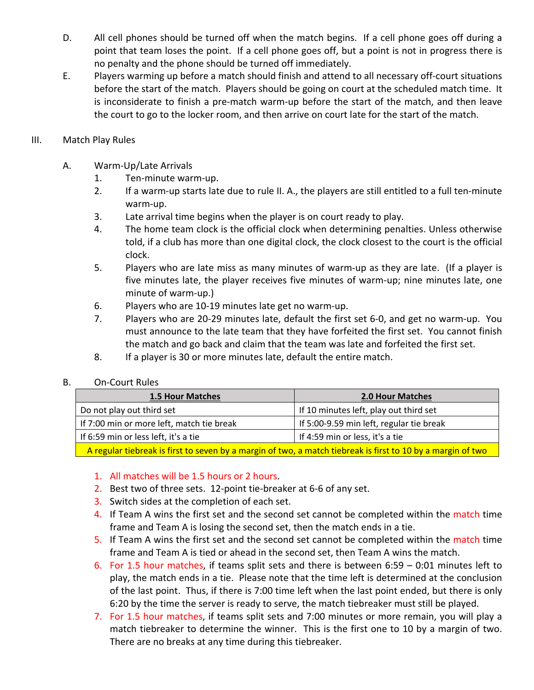- D. All cell phones should be turned off when the match begins. If a cell phone goes off during a point that team loses the point. If a cell phone goes off, but a point is not in progress there is no penalty and the phone should be turned off immediately.
- E. Players warming up before a match should finish and attend to all necessary off‐court situations before the start of the match. Players should be going on court at the scheduled match time. It is inconsiderate to finish a pre‐match warm‐up before the start of the match, and then leave the court to go to the locker room, and then arrive on court late for the start of the match.
- III. Match Play Rules
	- A. Warm‐Up/Late Arrivals
		- 1. Ten‐minute warm‐up.
		- 2. If a warm-up starts late due to rule II. A., the players are still entitled to a full ten-minute warm‐up.
		- 3. Late arrival time begins when the player is on court ready to play.
		- 4. The home team clock is the official clock when determining penalties. Unless otherwise told, if a club has more than one digital clock, the clock closest to the court is the official clock.
		- 5. Players who are late miss as many minutes of warm-up as they are late. (If a player is five minutes late, the player receives five minutes of warm-up; nine minutes late, one minute of warm‐up.)
		- 6. Players who are 10‐19 minutes late get no warm‐up.
		- 7. Players who are 20‐29 minutes late, default the first set 6‐0, and get no warm‐up. You must announce to the late team that they have forfeited the first set. You cannot finish the match and go back and claim that the team was late and forfeited the first set.
		- 8. If a player is 30 or more minutes late, default the entire match.
	- B. On‐Court Rules

| <b>1.5 Hour Matches</b>                                                                                    | <b>2.0 Hour Matches</b>                  |  |  |
|------------------------------------------------------------------------------------------------------------|------------------------------------------|--|--|
| Do not play out third set                                                                                  | If 10 minutes left, play out third set   |  |  |
| If 7:00 min or more left, match tie break                                                                  | If 5:00-9.59 min left, regular tie break |  |  |
| If 6:59 min or less left, it's a tie                                                                       | If 4:59 min or less, it's a tie          |  |  |
| A regular tiebreak is first to seven by a margin of two a match tiebreak is first to 10 by a margin of two |                                          |  |  |

A regular tiebreak is first to seven by a margin of two, a match tiebreak is first to 10 by a margin of two

- 1. All matches will be 1.5 hours or 2 hours.
- 2. Best two of three sets. 12-point tie-breaker at 6-6 of any set.
- **3.** Switch sides at the completion of each set.
- 4. If Team A wins the first set and the second set cannot be completed within the match time frame and Team A is losing the second set, then the match ends in a tie.
- 5. If Team A wins the first set and the second set cannot be completed within the match time frame and Team A is tied or ahead in the second set, then Team A wins the match.
- 6. For 1.5 hour matches, if teams split sets and there is between 6:59 0:01 minutes left to play, the match ends in a tie. Please note that the time left is determined at the conclusion of the last point. Thus, if there is 7:00 time left when the last point ended, but there is only 6:20 by the time the server is ready to serve, the match tiebreaker must still be played.
- 7. For 1.5 hour matches, if teams split sets and 7:00 minutes or more remain, you will play a match tiebreaker to determine the winner. This is the first one to 10 by a margin of two. There are no breaks at any time during this tiebreaker.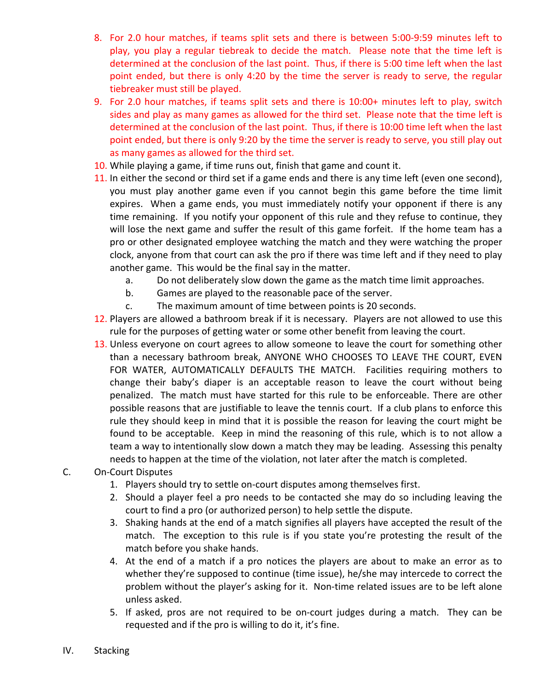- 8. For 2.0 hour matches, if teams split sets and there is between 5:00-9:59 minutes left to play, you play a regular tiebreak to decide the match. Please note that the time left is determined at the conclusion of the last point. Thus, if there is 5:00 time left when the last point ended, but there is only 4:20 by the time the server is ready to serve, the regular tiebreaker must still be played.
- 9. For 2.0 hour matches, if teams split sets and there is 10:00+ minutes left to play, switch sides and play as many games as allowed for the third set. Please note that the time left is determined at the conclusion of the last point. Thus, if there is 10:00 time left when the last point ended, but there is only 9:20 by the time the server is ready to serve, you still play out as many games as allowed for the third set.
- 10. While playing a game, if time runs out, finish that game and count it.
- 11. In either the second or third set if a game ends and there is any time left (even one second), you must play another game even if you cannot begin this game before the time limit expires. When a game ends, you must immediately notify your opponent if there is any time remaining. If you notify your opponent of this rule and they refuse to continue, they will lose the next game and suffer the result of this game forfeit. If the home team has a pro or other designated employee watching the match and they were watching the proper clock, anyone from that court can ask the pro if there was time left and if they need to play another game. This would be the final say in the matter.
	- a. Do not deliberately slow down the game as the match time limit approaches.
	- b. Games are played to the reasonable pace of the server.
	- c. The maximum amount of time between points is 20 seconds.
- 12. Players are allowed a bathroom break if it is necessary. Players are not allowed to use this rule for the purposes of getting water or some other benefit from leaving the court.
- 13. Unless everyone on court agrees to allow someone to leave the court for something other than a necessary bathroom break, ANYONE WHO CHOOSES TO LEAVE THE COURT, EVEN FOR WATER, AUTOMATICALLY DEFAULTS THE MATCH. Facilities requiring mothers to change their baby's diaper is an acceptable reason to leave the court without being penalized. The match must have started for this rule to be enforceable. There are other possible reasons that are justifiable to leave the tennis court. If a club plans to enforce this rule they should keep in mind that it is possible the reason for leaving the court might be found to be acceptable. Keep in mind the reasoning of this rule, which is to not allow a team a way to intentionally slow down a match they may be leading. Assessing this penalty needs to happen at the time of the violation, not later after the match is completed.
- C. On‐Court Disputes
	- 1. Players should try to settle on‐court disputes among themselves first.
	- 2. Should a player feel a pro needs to be contacted she may do so including leaving the court to find a pro (or authorized person) to help settle the dispute.
	- 3. Shaking hands at the end of a match signifies all players have accepted the result of the match. The exception to this rule is if you state you're protesting the result of the match before you shake hands.
	- 4. At the end of a match if a pro notices the players are about to make an error as to whether they're supposed to continue (time issue), he/she may intercede to correct the problem without the player's asking for it. Non-time related issues are to be left alone unless asked.
	- 5. If asked, pros are not required to be on-court judges during a match. They can be requested and if the pro is willing to do it, it's fine.
- IV. Stacking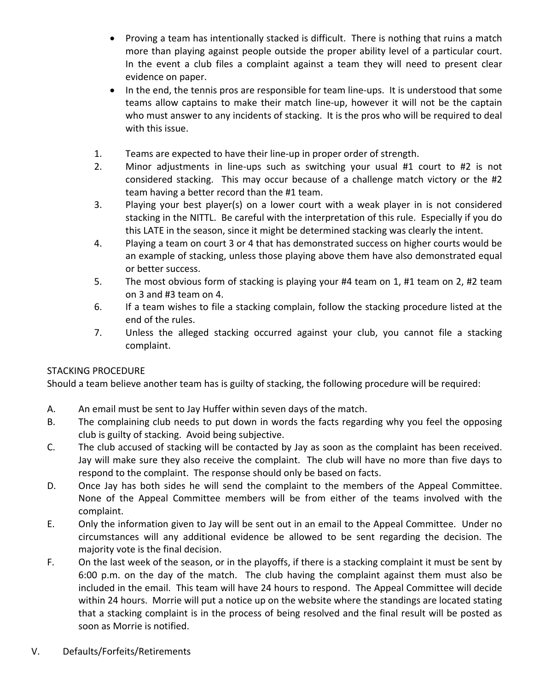- Proving a team has intentionally stacked is difficult. There is nothing that ruins a match more than playing against people outside the proper ability level of a particular court. In the event a club files a complaint against a team they will need to present clear evidence on paper.
- In the end, the tennis pros are responsible for team line-ups. It is understood that some teams allow captains to make their match line‐up, however it will not be the captain who must answer to any incidents of stacking. It is the pros who will be required to deal with this issue.
- 1. Teams are expected to have their line‐up in proper order of strength.
- 2. Minor adjustments in line-ups such as switching your usual #1 court to #2 is not considered stacking. This may occur because of a challenge match victory or the #2 team having a better record than the #1 team.
- 3. Playing your best player(s) on a lower court with a weak player in is not considered stacking in the NITTL. Be careful with the interpretation of this rule. Especially if you do this LATE in the season, since it might be determined stacking was clearly the intent.
- 4. Playing a team on court 3 or 4 that has demonstrated success on higher courts would be an example of stacking, unless those playing above them have also demonstrated equal or better success.
- 5. The most obvious form of stacking is playing your #4 team on 1, #1 team on 2, #2 team on 3 and #3 team on 4.
- 6. If a team wishes to file a stacking complain, follow the stacking procedure listed at the end of the rules.
- 7. Unless the alleged stacking occurred against your club, you cannot file a stacking complaint.

## STACKING PROCEDURE

Should a team believe another team has is guilty of stacking, the following procedure will be required:

- A. An email must be sent to Jay Huffer within seven days of the match.
- B. The complaining club needs to put down in words the facts regarding why you feel the opposing club is guilty of stacking. Avoid being subjective.
- C. The club accused of stacking will be contacted by Jay as soon as the complaint has been received. Jay will make sure they also receive the complaint. The club will have no more than five days to respond to the complaint. The response should only be based on facts.
- D. Once Jay has both sides he will send the complaint to the members of the Appeal Committee. None of the Appeal Committee members will be from either of the teams involved with the complaint.
- E. Only the information given to Jay will be sent out in an email to the Appeal Committee. Under no circumstances will any additional evidence be allowed to be sent regarding the decision. The majority vote is the final decision.
- F. On the last week of the season, or in the playoffs, if there is a stacking complaint it must be sent by 6:00 p.m. on the day of the match. The club having the complaint against them must also be included in the email. This team will have 24 hours to respond. The Appeal Committee will decide within 24 hours. Morrie will put a notice up on the website where the standings are located stating that a stacking complaint is in the process of being resolved and the final result will be posted as soon as Morrie is notified.
- V. Defaults/Forfeits/Retirements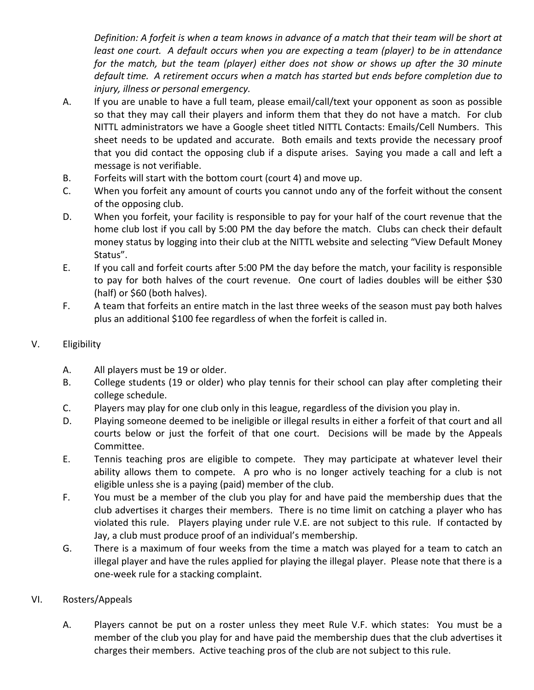*Definition: A forfeit is when a team knows in advance of a match that their team will be short at least one court. A default occurs when you are expecting a team (player) to be in attendance for the match, but the team (player) either does not show or shows up after the 30 minute default time. A retirement occurs when a match has started but ends before completion due to injury, illness or personal emergency.* 

- A. If you are unable to have a full team, please email/call/text your opponent as soon as possible so that they may call their players and inform them that they do not have a match. For club NITTL administrators we have a Google sheet titled NITTL Contacts: Emails/Cell Numbers. This sheet needs to be updated and accurate. Both emails and texts provide the necessary proof that you did contact the opposing club if a dispute arises. Saying you made a call and left a message is not verifiable.
- B. Forfeits will start with the bottom court (court 4) and move up.
- C. When you forfeit any amount of courts you cannot undo any of the forfeit without the consent of the opposing club.
- D. When you forfeit, your facility is responsible to pay for your half of the court revenue that the home club lost if you call by 5:00 PM the day before the match. Clubs can check their default money status by logging into their club at the NITTL website and selecting "View Default Money Status".
- E. If you call and forfeit courts after 5:00 PM the day before the match, your facility is responsible to pay for both halves of the court revenue. One court of ladies doubles will be either \$30 (half) or \$60 (both halves).
- F. A team that forfeits an entire match in the last three weeks of the season must pay both halves plus an additional \$100 fee regardless of when the forfeit is called in.

## V. Eligibility

- A. All players must be 19 or older.
- B. College students (19 or older) who play tennis for their school can play after completing their college schedule.
- C. Players may play for one club only in this league, regardless of the division you play in.
- D. Playing someone deemed to be ineligible or illegal results in either a forfeit of that court and all courts below or just the forfeit of that one court. Decisions will be made by the Appeals Committee.
- E. Tennis teaching pros are eligible to compete. They may participate at whatever level their ability allows them to compete. A pro who is no longer actively teaching for a club is not eligible unless she is a paying (paid) member of the club.
- F. You must be a member of the club you play for and have paid the membership dues that the club advertises it charges their members. There is no time limit on catching a player who has violated this rule. Players playing under rule V.E. are not subject to this rule. If contacted by Jay, a club must produce proof of an individual's membership.
- G. There is a maximum of four weeks from the time a match was played for a team to catch an illegal player and have the rules applied for playing the illegal player. Please note that there is a one‐week rule for a stacking complaint.

#### VI. Rosters/Appeals

A. Players cannot be put on a roster unless they meet Rule V.F. which states: You must be a member of the club you play for and have paid the membership dues that the club advertises it charges their members. Active teaching pros of the club are not subject to this rule.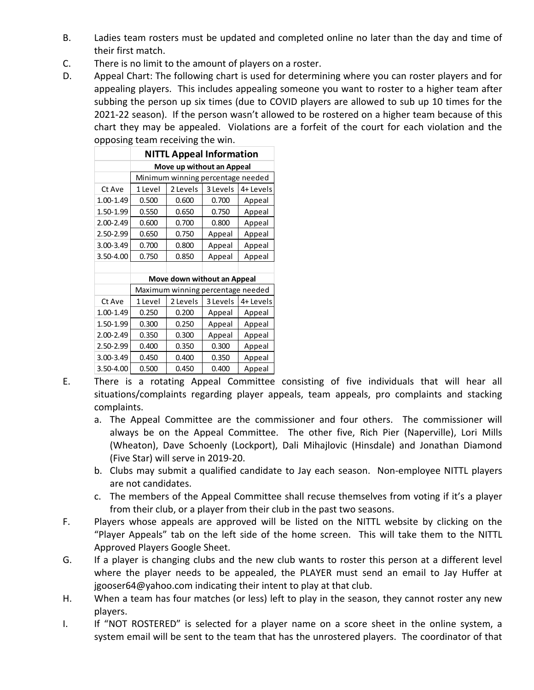- B. Ladies team rosters must be updated and completed online no later than the day and time of their first match.
- C. There is no limit to the amount of players on a roster.
- D. Appeal Chart: The following chart is used for determining where you can roster players and for appealing players. This includes appealing someone you want to roster to a higher team after subbing the person up six times (due to COVID players are allowed to sub up 10 times for the 2021-22 season). If the person wasn't allowed to be rostered on a higher team because of this chart they may be appealed. Violations are a forfeit of the court for each violation and the opposing team receiving the win.

|               | <b>NITTL Appeal Information</b>   |          |          |          |  |
|---------------|-----------------------------------|----------|----------|----------|--|
|               | Move up without an Appeal         |          |          |          |  |
|               | Minimum winning percentage needed |          |          |          |  |
| Ct Ave        | 1 Level                           | 2 Levels | 3 Levels | 4+Levels |  |
| $1.00 - 1.49$ | 0.500                             | 0.600    | 0.700    | Appeal   |  |
| 1.50-1.99     | 0.550                             | 0.650    | 0.750    | Appeal   |  |
| 2.00-2.49     | 0.600                             | 0.700    | 0.800    | Appeal   |  |
| 2.50-2.99     | 0.650                             | 0.750    | Appeal   | Appeal   |  |
| 3.00-3.49     | 0.700                             | 0.800    | Appeal   | Appeal   |  |
| 3.50-4.00     | 0.750                             | 0.850    | Appeal   | Appeal   |  |
|               |                                   |          |          |          |  |
|               | Move down without an Appeal       |          |          |          |  |
|               | Maximum winning percentage needed |          |          |          |  |
| Ct Ave        | 1 Level                           | 2 Levels | 3 Levels | 4+Levels |  |
| 1.00-1.49     | 0.250                             | 0.200    | Appeal   | Appeal   |  |
| 1.50-1.99     | 0.300                             | 0.250    | Appeal   | Appeal   |  |
| 2.00-2.49     | 0.350                             | 0.300    | Appeal   | Appeal   |  |
| 2.50-2.99     | 0.400                             | 0.350    | 0.300    | Appeal   |  |
| 3.00-3.49     | 0.450                             | 0.400    | 0.350    | Appeal   |  |
| 3.50-4.00     | 0.500                             | 0.450    | 0.400    | Appeal   |  |

- E. There is a rotating Appeal Committee consisting of five individuals that will hear all situations/complaints regarding player appeals, team appeals, pro complaints and stacking complaints.
	- a. The Appeal Committee are the commissioner and four others. The commissioner will always be on the Appeal Committee. The other five, Rich Pier (Naperville), Lori Mills (Wheaton), Dave Schoenly (Lockport), Dali Mihajlovic (Hinsdale) and Jonathan Diamond (Five Star) will serve in 2019‐20.
	- b. Clubs may submit a qualified candidate to Jay each season. Non-employee NITTL players are not candidates.
	- c. The members of the Appeal Committee shall recuse themselves from voting if it's a player from their club, or a player from their club in the past two seasons.
- F. Players whose appeals are approved will be listed on the NITTL website by clicking on the "Player Appeals" tab on the left side of the home screen. This will take them to the NITTL Approved Players Google Sheet.
- G. If a player is changing clubs and the new club wants to roster this person at a different level where the player needs to be appealed, the PLAYER must send an email to Jay Huffer at jgooser64@yahoo.com indicating their intent to play at that club.
- H. When a team has four matches (or less) left to play in the season, they cannot roster any new players.
- I. If "NOT ROSTERED" is selected for a player name on a score sheet in the online system, a system email will be sent to the team that has the unrostered players. The coordinator of that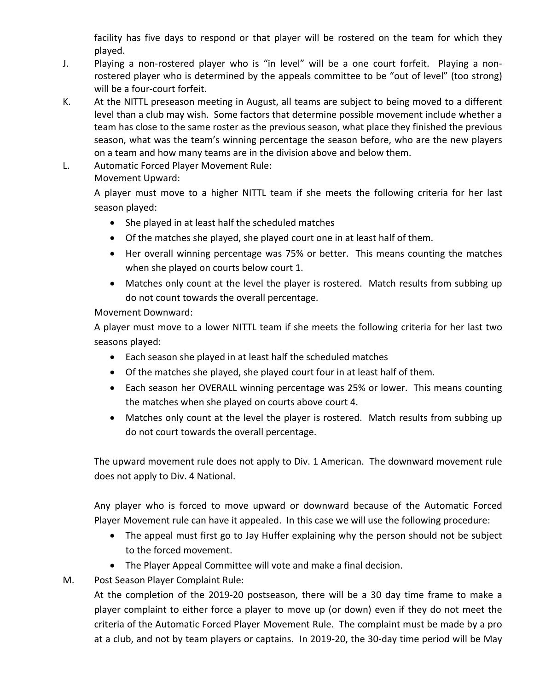facility has five days to respond or that player will be rostered on the team for which they played.

- J. Playing a non‐rostered player who is "in level" will be a one court forfeit. Playing a non‐ rostered player who is determined by the appeals committee to be "out of level" (too strong) will be a four‐court forfeit.
- K. At the NITTL preseason meeting in August, all teams are subject to being moved to a different level than a club may wish. Some factors that determine possible movement include whether a team has close to the same roster as the previous season, what place they finished the previous season, what was the team's winning percentage the season before, who are the new players on a team and how many teams are in the division above and below them.
- L. Automatic Forced Player Movement Rule:

Movement Upward:

A player must move to a higher NITTL team if she meets the following criteria for her last season played:

- She played in at least half the scheduled matches
- Of the matches she played, she played court one in at least half of them.
- Her overall winning percentage was 75% or better. This means counting the matches when she played on courts below court 1.
- Matches only count at the level the player is rostered. Match results from subbing up do not count towards the overall percentage.

Movement Downward:

A player must move to a lower NITTL team if she meets the following criteria for her last two seasons played:

- Each season she played in at least half the scheduled matches
- Of the matches she played, she played court four in at least half of them.
- Each season her OVERALL winning percentage was 25% or lower. This means counting the matches when she played on courts above court 4.
- Matches only count at the level the player is rostered. Match results from subbing up do not court towards the overall percentage.

The upward movement rule does not apply to Div. 1 American. The downward movement rule does not apply to Div. 4 National.

Any player who is forced to move upward or downward because of the Automatic Forced Player Movement rule can have it appealed. In this case we will use the following procedure:

- The appeal must first go to Jay Huffer explaining why the person should not be subject to the forced movement.
- The Player Appeal Committee will vote and make a final decision.
- M. Post Season Player Complaint Rule:

At the completion of the 2019‐20 postseason, there will be a 30 day time frame to make a player complaint to either force a player to move up (or down) even if they do not meet the criteria of the Automatic Forced Player Movement Rule. The complaint must be made by a pro at a club, and not by team players or captains. In 2019‐20, the 30‐day time period will be May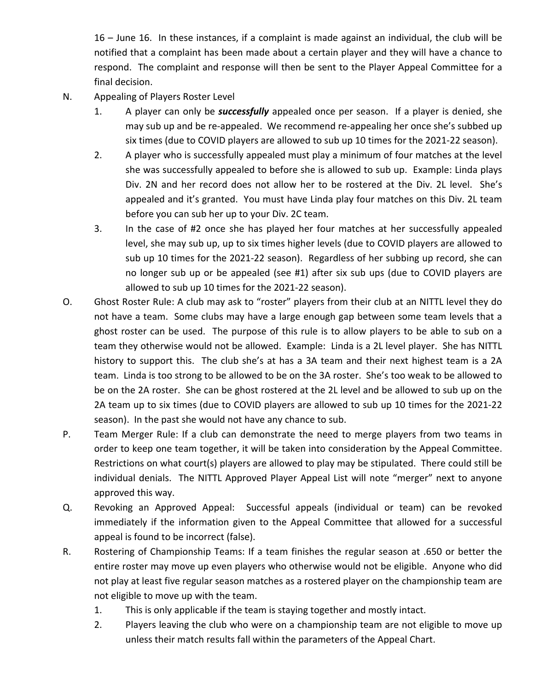16 – June 16. In these instances, if a complaint is made against an individual, the club will be notified that a complaint has been made about a certain player and they will have a chance to respond. The complaint and response will then be sent to the Player Appeal Committee for a final decision.

- N. Appealing of Players Roster Level
	- 1. A player can only be *successfully* appealed once per season. If a player is denied, she may sub up and be re‐appealed. We recommend re‐appealing her once she's subbed up six times (due to COVID players are allowed to sub up 10 times for the 2021‐22 season).
	- 2. A player who is successfully appealed must play a minimum of four matches at the level she was successfully appealed to before she is allowed to sub up. Example: Linda plays Div. 2N and her record does not allow her to be rostered at the Div. 2L level. She's appealed and it's granted. You must have Linda play four matches on this Div. 2L team before you can sub her up to your Div. 2C team.
	- 3. In the case of #2 once she has played her four matches at her successfully appealed level, she may sub up, up to six times higher levels (due to COVID players are allowed to sub up 10 times for the 2021‐22 season). Regardless of her subbing up record, she can no longer sub up or be appealed (see #1) after six sub ups (due to COVID players are allowed to sub up 10 times for the 2021‐22 season).
- O. Ghost Roster Rule: A club may ask to "roster" players from their club at an NITTL level they do not have a team. Some clubs may have a large enough gap between some team levels that a ghost roster can be used. The purpose of this rule is to allow players to be able to sub on a team they otherwise would not be allowed. Example: Linda is a 2L level player. She has NITTL history to support this. The club she's at has a 3A team and their next highest team is a 2A team. Linda is too strong to be allowed to be on the 3A roster. She's too weak to be allowed to be on the 2A roster. She can be ghost rostered at the 2L level and be allowed to sub up on the 2A team up to six times (due to COVID players are allowed to sub up 10 times for the 2021‐22 season). In the past she would not have any chance to sub.
- P. Team Merger Rule: If a club can demonstrate the need to merge players from two teams in order to keep one team together, it will be taken into consideration by the Appeal Committee. Restrictions on what court(s) players are allowed to play may be stipulated. There could still be individual denials. The NITTL Approved Player Appeal List will note "merger" next to anyone approved this way.
- Q. Revoking an Approved Appeal: Successful appeals (individual or team) can be revoked immediately if the information given to the Appeal Committee that allowed for a successful appeal is found to be incorrect (false).
- R. Bostering of Championship Teams: If a team finishes the regular season at .650 or better the entire roster may move up even players who otherwise would not be eligible. Anyone who did not play at least five regular season matches as a rostered player on the championship team are not eligible to move up with the team.
	- 1. This is only applicable if the team is staying together and mostly intact.
	- 2. Players leaving the club who were on a championship team are not eligible to move up unless their match results fall within the parameters of the Appeal Chart.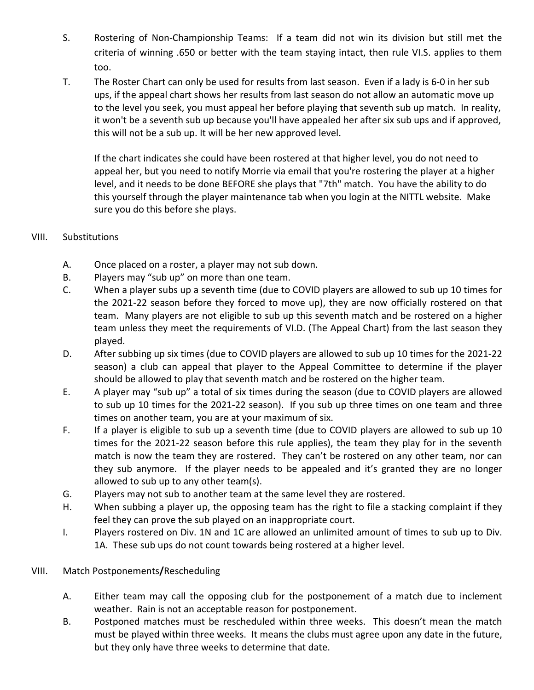- S. Bostering of Non-Championship Teams: If a team did not win its division but still met the criteria of winning .650 or better with the team staying intact, then rule VI.S. applies to them too.
- T. The Roster Chart can only be used for results from last season. Even if a lady is 6‐0 in her sub ups, if the appeal chart shows her results from last season do not allow an automatic move up to the level you seek, you must appeal her before playing that seventh sub up match. In reality, it won't be a seventh sub up because you'll have appealed her after six sub ups and if approved, this will not be a sub up. It will be her new approved level.

If the chart indicates she could have been rostered at that higher level, you do not need to appeal her, but you need to notify Morrie via email that you're rostering the player at a higher level, and it needs to be done BEFORE she plays that "7th" match. You have the ability to do this yourself through the player maintenance tab when you login at the NITTL website. Make sure you do this before she plays.

#### VIII. Substitutions

- A. Once placed on a roster, a player may not sub down.
- B. Players may "sub up" on more than one team.
- C. When a player subs up a seventh time (due to COVID players are allowed to sub up 10 times for the 2021‐22 season before they forced to move up), they are now officially rostered on that team. Many players are not eligible to sub up this seventh match and be rostered on a higher team unless they meet the requirements of VI.D. (The Appeal Chart) from the last season they played.
- D. After subbing up six times (due to COVID players are allowed to sub up 10 times for the 2021-22 season) a club can appeal that player to the Appeal Committee to determine if the player should be allowed to play that seventh match and be rostered on the higher team.
- E. A player may "sub up" a total of six times during the season (due to COVID players are allowed to sub up 10 times for the 2021‐22 season). If you sub up three times on one team and three times on another team, you are at your maximum of six.
- F. If a player is eligible to sub up a seventh time (due to COVID players are allowed to sub up 10 times for the 2021-22 season before this rule applies), the team they play for in the seventh match is now the team they are rostered. They can't be rostered on any other team, nor can they sub anymore. If the player needs to be appealed and it's granted they are no longer allowed to sub up to any other team(s).
- G. Players may not sub to another team at the same level they are rostered.
- H. When subbing a player up, the opposing team has the right to file a stacking complaint if they feel they can prove the sub played on an inappropriate court.
- I. Players rostered on Div. 1N and 1C are allowed an unlimited amount of times to sub up to Div. 1A. These sub ups do not count towards being rostered at a higher level.
- VIII. Match Postponements**/**Rescheduling
	- A. Either team may call the opposing club for the postponement of a match due to inclement weather. Rain is not an acceptable reason for postponement.
	- B. Postponed matches must be rescheduled within three weeks. This doesn't mean the match must be played within three weeks. It means the clubs must agree upon any date in the future, but they only have three weeks to determine that date.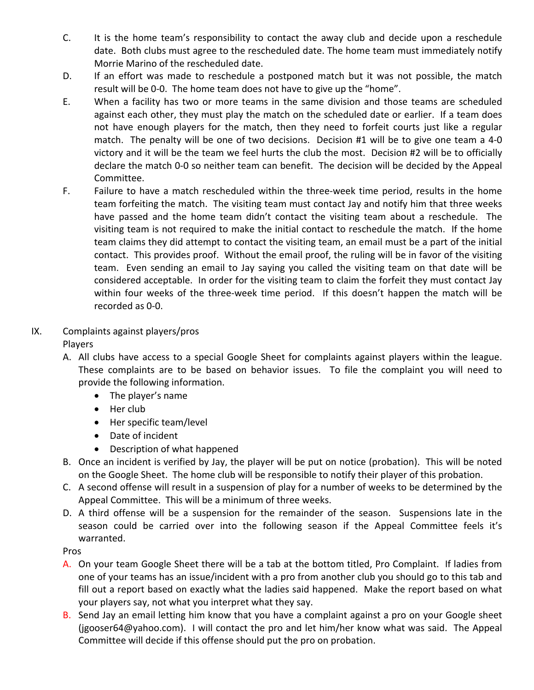- C. It is the home team's responsibility to contact the away club and decide upon a reschedule date. Both clubs must agree to the rescheduled date. The home team must immediately notify Morrie Marino of the rescheduled date.
- D. If an effort was made to reschedule a postponed match but it was not possible, the match result will be 0‐0. The home team does not have to give up the "home".
- E. When a facility has two or more teams in the same division and those teams are scheduled against each other, they must play the match on the scheduled date or earlier. If a team does not have enough players for the match, then they need to forfeit courts just like a regular match. The penalty will be one of two decisions. Decision #1 will be to give one team a 4-0 victory and it will be the team we feel hurts the club the most. Decision #2 will be to officially declare the match 0‐0 so neither team can benefit. The decision will be decided by the Appeal Committee.
- F. Failure to have a match rescheduled within the three-week time period, results in the home team forfeiting the match. The visiting team must contact Jay and notify him that three weeks have passed and the home team didn't contact the visiting team about a reschedule. The visiting team is not required to make the initial contact to reschedule the match. If the home team claims they did attempt to contact the visiting team, an email must be a part of the initial contact. This provides proof. Without the email proof, the ruling will be in favor of the visiting team. Even sending an email to Jay saying you called the visiting team on that date will be considered acceptable. In order for the visiting team to claim the forfeit they must contact Jay within four weeks of the three-week time period. If this doesn't happen the match will be recorded as 0‐0.

## IX. Complaints against players/pros

Players

- A. All clubs have access to a special Google Sheet for complaints against players within the league. These complaints are to be based on behavior issues. To file the complaint you will need to provide the following information.
	- The player's name
	- $\bullet$  Her club
	- Her specific team/level
	- Date of incident
	- Description of what happened
- B. Once an incident is verified by Jay, the player will be put on notice (probation). This will be noted on the Google Sheet. The home club will be responsible to notify their player of this probation.
- C. A second offense will result in a suspension of play for a number of weeks to be determined by the Appeal Committee. This will be a minimum of three weeks.
- D. A third offense will be a suspension for the remainder of the season. Suspensions late in the season could be carried over into the following season if the Appeal Committee feels it's warranted.

Pros

- A. On your team Google Sheet there will be a tab at the bottom titled, Pro Complaint. If ladies from one of your teams has an issue/incident with a pro from another club you should go to this tab and fill out a report based on exactly what the ladies said happened. Make the report based on what your players say, not what you interpret what they say.
- B. Send Jay an email letting him know that you have a complaint against a pro on your Google sheet (jgooser64@yahoo.com). I will contact the pro and let him/her know what was said. The Appeal Committee will decide if this offense should put the pro on probation.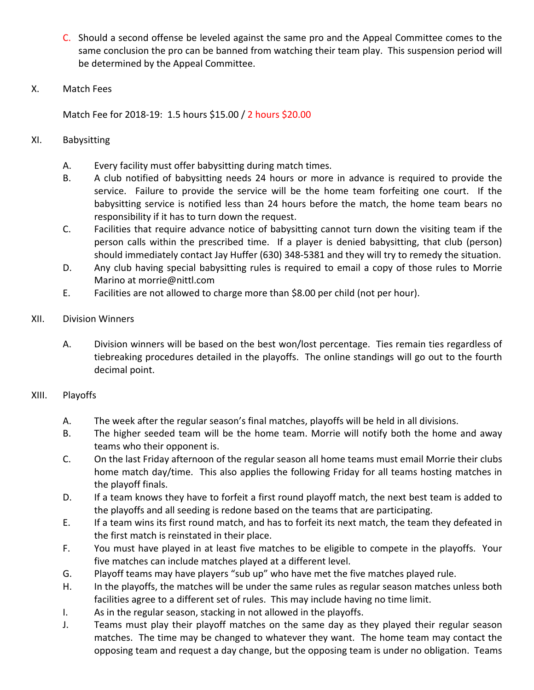- C. Should a second offense be leveled against the same pro and the Appeal Committee comes to the same conclusion the pro can be banned from watching their team play. This suspension period will be determined by the Appeal Committee.
- X. Match Fees

Match Fee for 2018‐19: 1.5 hours \$15.00 / 2 hours \$20.00

- XI. Babysitting
	- A. Every facility must offer babysitting during match times.
	- B. A club notified of babysitting needs 24 hours or more in advance is required to provide the service. Failure to provide the service will be the home team forfeiting one court. If the babysitting service is notified less than 24 hours before the match, the home team bears no responsibility if it has to turn down the request.
	- C. Facilities that require advance notice of babysitting cannot turn down the visiting team if the person calls within the prescribed time. If a player is denied babysitting, that club (person) should immediately contact Jay Huffer (630) 348‐5381 and they will try to remedy the situation.
	- D. Any club having special babysitting rules is required to email a copy of those rules to Morrie Marino at morrie@nittl.com
	- E. Facilities are not allowed to charge more than \$8.00 per child (not per hour).
- XII. Division Winners
	- A. Division winners will be based on the best won/lost percentage. Ties remain ties regardless of tiebreaking procedures detailed in the playoffs. The online standings will go out to the fourth decimal point.

#### XIII. Playoffs

- A. The week after the regular season's final matches, playoffs will be held in all divisions.
- B. The higher seeded team will be the home team. Morrie will notify both the home and away teams who their opponent is.
- C. On the last Friday afternoon of the regular season all home teams must email Morrie their clubs home match day/time. This also applies the following Friday for all teams hosting matches in the playoff finals.
- D. If a team knows they have to forfeit a first round playoff match, the next best team is added to the playoffs and all seeding is redone based on the teams that are participating.
- E. If a team wins its first round match, and has to forfeit its next match, the team they defeated in the first match is reinstated in their place.
- F. You must have played in at least five matches to be eligible to compete in the playoffs. Your five matches can include matches played at a different level.
- G. Playoff teams may have players "sub up" who have met the five matches played rule.
- H. In the playoffs, the matches will be under the same rules as regular season matches unless both facilities agree to a different set of rules. This may include having no time limit.
- I. As in the regular season, stacking in not allowed in the playoffs.
- J. Teams must play their playoff matches on the same day as they played their regular season matches. The time may be changed to whatever they want. The home team may contact the opposing team and request a day change, but the opposing team is under no obligation. Teams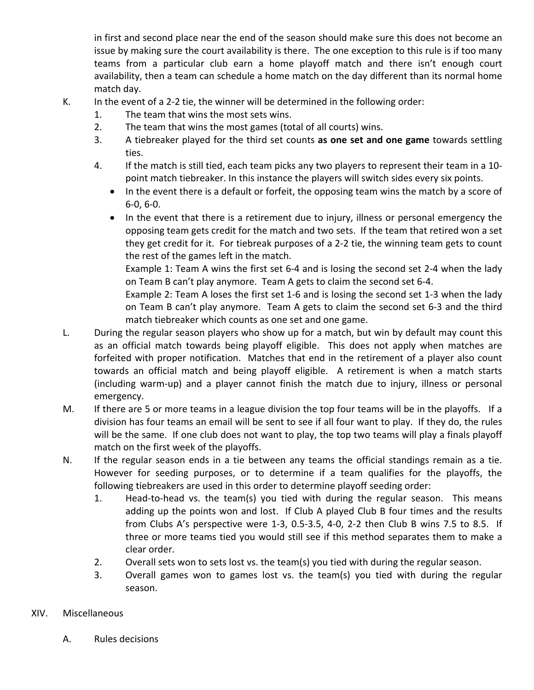in first and second place near the end of the season should make sure this does not become an issue by making sure the court availability is there. The one exception to this rule is if too many teams from a particular club earn a home playoff match and there isn't enough court availability, then a team can schedule a home match on the day different than its normal home match day.

- 
- K. In the event of a 2-2 tie, the winner will be determined in the following order:
	- 1. The team that wins the most sets wins.
	- 2. The team that wins the most games (total of all courts) wins.
	- 3. A tiebreaker played for the third set counts **as one set and one game** towards settling ties.
	- 4. If the match is still tied, each team picks any two players to represent their team in a 10‐ point match tiebreaker. In this instance the players will switch sides every six points.
		- In the event there is a default or forfeit, the opposing team wins the match by a score of 6‐0, 6‐0.
		- In the event that there is a retirement due to injury, illness or personal emergency the opposing team gets credit for the match and two sets. If the team that retired won a set they get credit for it. For tiebreak purposes of a 2‐2 tie, the winning team gets to count the rest of the games left in the match.

Example 1: Team A wins the first set 6‐4 and is losing the second set 2‐4 when the lady on Team B can't play anymore. Team A gets to claim the second set 6‐4.

Example 2: Team A loses the first set 1‐6 and is losing the second set 1‐3 when the lady on Team B can't play anymore. Team A gets to claim the second set 6‐3 and the third match tiebreaker which counts as one set and one game.

- L. During the regular season players who show up for a match, but win by default may count this as an official match towards being playoff eligible. This does not apply when matches are forfeited with proper notification. Matches that end in the retirement of a player also count towards an official match and being playoff eligible. A retirement is when a match starts (including warm‐up) and a player cannot finish the match due to injury, illness or personal emergency.
- M. If there are 5 or more teams in a league division the top four teams will be in the playoffs. If a division has four teams an email will be sent to see if all four want to play. If they do, the rules will be the same. If one club does not want to play, the top two teams will play a finals playoff match on the first week of the playoffs.
- N. If the regular season ends in a tie between any teams the official standings remain as a tie. However for seeding purposes, or to determine if a team qualifies for the playoffs, the following tiebreakers are used in this order to determine playoff seeding order:
	- 1. Head-to-head vs. the team(s) you tied with during the regular season. This means adding up the points won and lost. If Club A played Club B four times and the results from Clubs A's perspective were 1-3, 0.5-3.5, 4-0, 2-2 then Club B wins 7.5 to 8.5. If three or more teams tied you would still see if this method separates them to make a clear order.
	- 2. Overall sets won to sets lost vs. the team(s) you tied with during the regular season.
	- 3. Overall games won to games lost vs. the team(s) you tied with during the regular season.

#### XIV. Miscellaneous

A. Rules decisions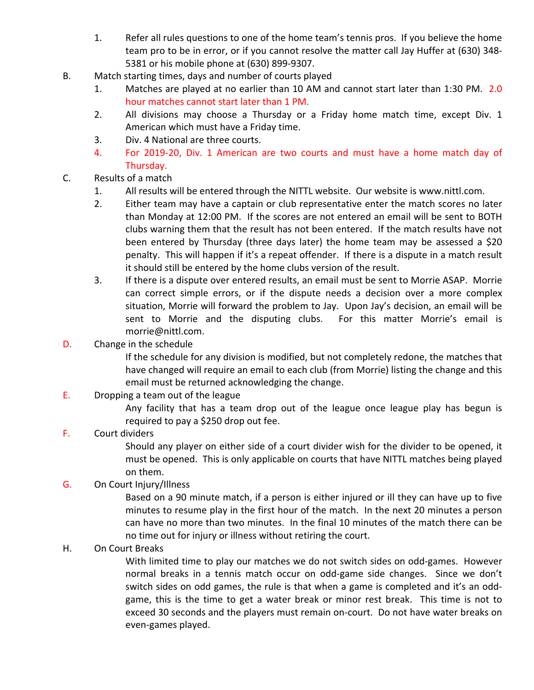- 1. Refer all rules questions to one of the home team's tennis pros. If you believe the home team pro to be in error, or if you cannot resolve the matter call Jay Huffer at (630) 348‐ 5381 or his mobile phone at (630) 899‐9307.
- B. Match starting times, days and number of courts played
	- 1. Matches are played at no earlier than 10 AM and cannot start later than 1:30 PM. 2.0 hour matches cannot start later than 1 PM.
	- 2. All divisions may choose a Thursday or a Friday home match time, except Div. 1 American which must have a Friday time.
	- 3. Div. 4 National are three courts.
	- 4. For 2019-20, Div. 1 American are two courts and must have a home match day of Thursday.
- C. Results of a match
	- 1. All results will be entered through the NITTL website. Our website is www.nittl.com.
	- 2. Either team may have a captain or club representative enter the match scores no later than Monday at 12:00 PM. If the scores are not entered an email will be sent to BOTH clubs warning them that the result has not been entered. If the match results have not been entered by Thursday (three days later) the home team may be assessed a \$20 penalty. This will happen if it's a repeat offender. If there is a dispute in a match result it should still be entered by the home clubs version of the result.
	- 3. If there is a dispute over entered results, an email must be sent to Morrie ASAP. Morrie can correct simple errors, or if the dispute needs a decision over a more complex situation, Morrie will forward the problem to Jay. Upon Jay's decision, an email will be sent to Morrie and the disputing clubs. For this matter Morrie's email is morrie@nittl.com.
- D. Change in the schedule

If the schedule for any division is modified, but not completely redone, the matches that have changed will require an email to each club (from Morrie) listing the change and this email must be returned acknowledging the change.

E. Dropping a team out of the league

Any facility that has a team drop out of the league once league play has begun is required to pay a \$250 drop out fee.

## F. Court dividers

Should any player on either side of a court divider wish for the divider to be opened, it must be opened. This is only applicable on courts that have NITTL matches being played on them.

G. On Court Injury/Illness

Based on a 90 minute match, if a person is either injured or ill they can have up to five minutes to resume play in the first hour of the match. In the next 20 minutes a person can have no more than two minutes. In the final 10 minutes of the match there can be no time out for injury or illness without retiring the court.

H. On Court Breaks

With limited time to play our matches we do not switch sides on odd-games. However normal breaks in a tennis match occur on odd-game side changes. Since we don't switch sides on odd games, the rule is that when a game is completed and it's an odd‐ game, this is the time to get a water break or minor rest break. This time is not to exceed 30 seconds and the players must remain on‐court. Do not have water breaks on even‐games played.